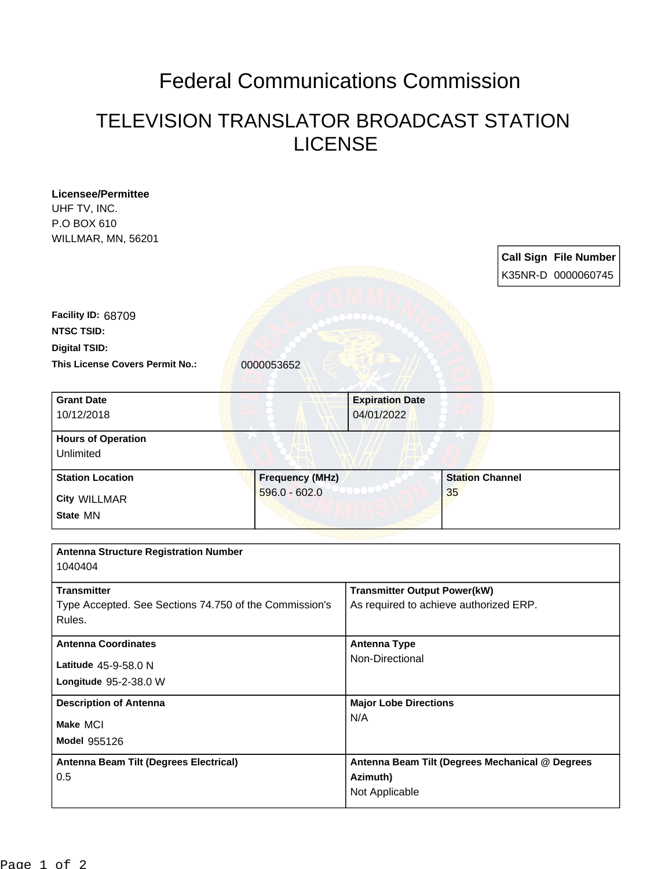## Federal Communications Commission

## TELEVISION TRANSLATOR BROADCAST STATION LICENSE

| <b>Licensee/Permittee</b>                              |                        |                                                                               |                        |  |                              |
|--------------------------------------------------------|------------------------|-------------------------------------------------------------------------------|------------------------|--|------------------------------|
| UHF TV, INC.<br>P.O BOX 610                            |                        |                                                                               |                        |  |                              |
| WILLMAR, MN, 56201                                     |                        |                                                                               |                        |  |                              |
|                                                        |                        |                                                                               |                        |  | <b>Call Sign File Number</b> |
|                                                        |                        |                                                                               |                        |  |                              |
|                                                        |                        |                                                                               |                        |  | K35NR-D 0000060745           |
| Facility ID: 68709                                     |                        |                                                                               |                        |  |                              |
| <b>NTSC TSID:</b>                                      |                        |                                                                               |                        |  |                              |
| <b>Digital TSID:</b>                                   |                        |                                                                               |                        |  |                              |
| <b>This License Covers Permit No.:</b>                 | 0000053652             |                                                                               |                        |  |                              |
|                                                        |                        |                                                                               |                        |  |                              |
| <b>Grant Date</b>                                      |                        | <b>Expiration Date</b>                                                        |                        |  |                              |
| 10/12/2018                                             |                        | 04/01/2022                                                                    |                        |  |                              |
| <b>Hours of Operation</b>                              |                        |                                                                               |                        |  |                              |
| Unlimited                                              |                        |                                                                               |                        |  |                              |
| <b>Station Location</b>                                | <b>Frequency (MHz)</b> |                                                                               | <b>Station Channel</b> |  |                              |
| <b>City WILLMAR</b>                                    | $596.0 - 602.0$        |                                                                               | 35                     |  |                              |
| State MN                                               |                        |                                                                               |                        |  |                              |
|                                                        |                        |                                                                               |                        |  |                              |
| <b>Antenna Structure Registration Number</b>           |                        |                                                                               |                        |  |                              |
| 1040404                                                |                        |                                                                               |                        |  |                              |
| <b>Transmitter</b>                                     |                        |                                                                               |                        |  |                              |
| Type Accepted. See Sections 74.750 of the Commission's |                        | <b>Transmitter Output Power(kW)</b><br>As required to achieve authorized ERP. |                        |  |                              |
| Rules.                                                 |                        |                                                                               |                        |  |                              |
| <b>Antenna Coordinates</b>                             |                        | <b>Antenna Type</b>                                                           |                        |  |                              |
|                                                        |                        | Non-Directional                                                               |                        |  |                              |
| Latitude 45-9-58.0 N                                   |                        |                                                                               |                        |  |                              |
| Longitude 95-2-38.0 W                                  |                        |                                                                               |                        |  |                              |
| <b>Description of Antenna</b>                          |                        | <b>Major Lobe Directions</b>                                                  |                        |  |                              |
| Make MCI                                               |                        | N/A                                                                           |                        |  |                              |
| Model 955126                                           |                        |                                                                               |                        |  |                              |
| Antenna Beam Tilt (Degrees Electrical)                 |                        | Antenna Beam Tilt (Degrees Mechanical @ Degrees                               |                        |  |                              |
| 0.5                                                    |                        | Azimuth)                                                                      |                        |  |                              |
|                                                        |                        | Not Applicable                                                                |                        |  |                              |
|                                                        |                        |                                                                               |                        |  |                              |